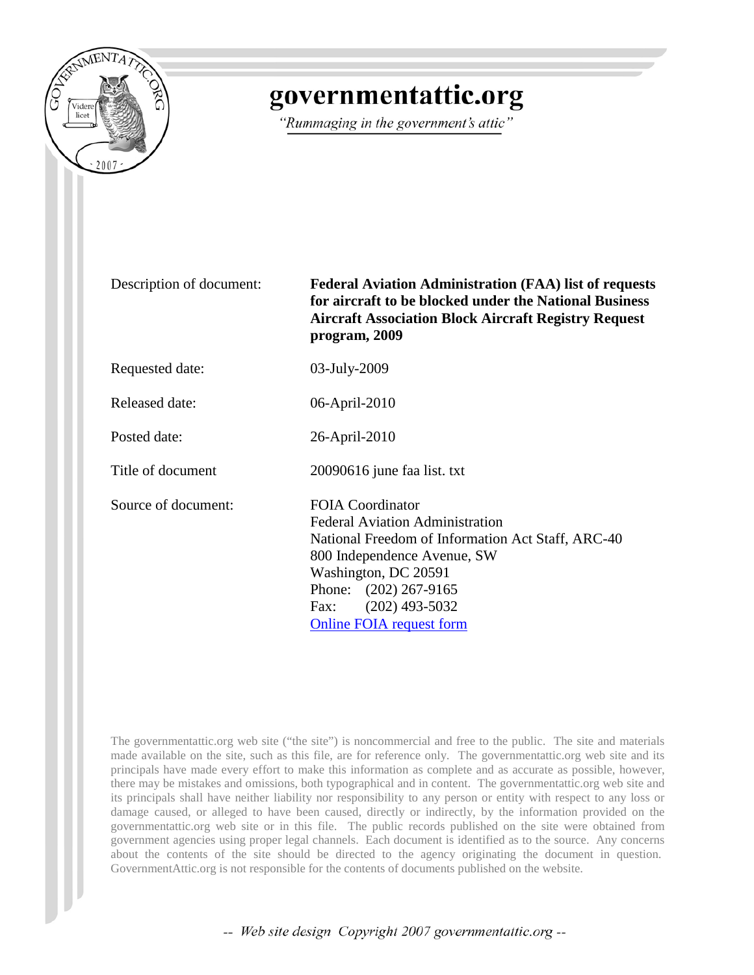

## governmentattic.org

"Rummaging in the government's attic"

Description of document: **Federal Aviation Administration (FAA) list of requests for aircraft to be blocked under the National Business Aircraft Association Block Aircraft Registry Request program, 2009**

Requested date: 03-July-2009

Released date: 06-April-2010

Posted date: 26-April-2010

Title of document 20090616 june faa list. txt

Source of document: FOIA Coordinator

Federal Aviation Administration National Freedom of Information Act Staff, ARC-40 800 Independence Avenue, SW Washington, DC 20591 Phone: (202) 267-9165 Fax: (202) 493-5032 [Online FOIA request form](http://www.faa.gov/foia/email_foia/index.cfm?region=hq)

The governmentattic.org web site ("the site") is noncommercial and free to the public. The site and materials made available on the site, such as this file, are for reference only. The governmentattic.org web site and its principals have made every effort to make this information as complete and as accurate as possible, however, there may be mistakes and omissions, both typographical and in content. The governmentattic.org web site and its principals shall have neither liability nor responsibility to any person or entity with respect to any loss or damage caused, or alleged to have been caused, directly or indirectly, by the information provided on the governmentattic.org web site or in this file. The public records published on the site were obtained from government agencies using proper legal channels. Each document is identified as to the source. Any concerns about the contents of the site should be directed to the agency originating the document in question. GovernmentAttic.org is not responsible for the contents of documents published on the website.

-- Web site design Copyright 2007 governmentattic.org --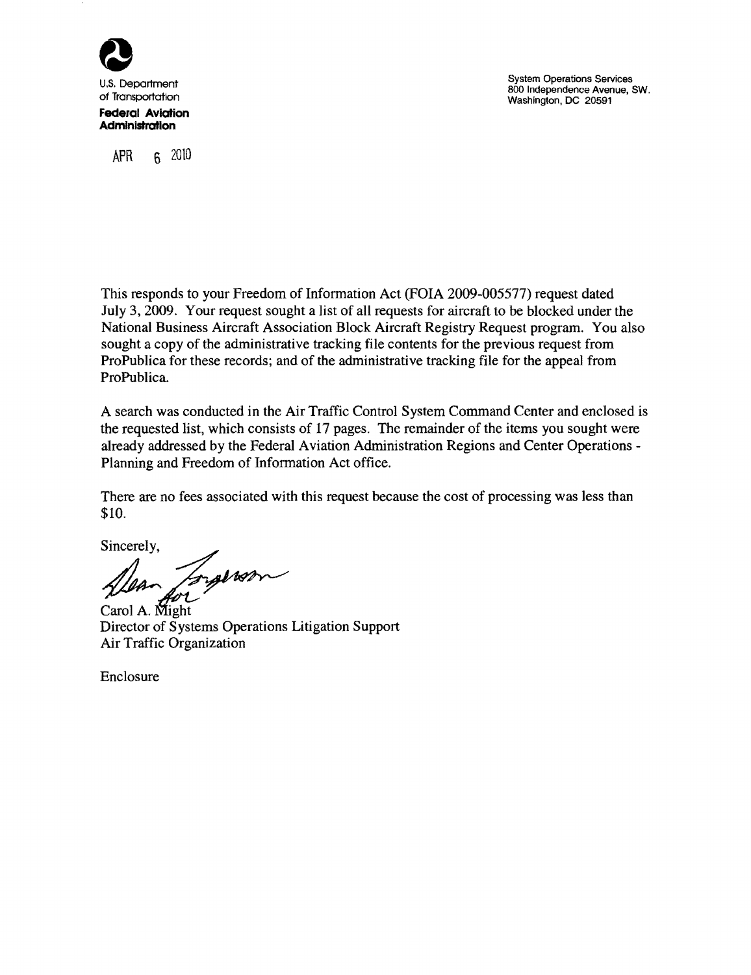

U.S. Department of Transpartatlon **Federal Aviation Administration** 

APR 6 2010

System Operations Services 800 Independence Avenue, SW. Washington, DC 20591

This responds to your Freedom of Information Act (FOIA 2009-005577) request dated July 3, 2009. Your request sought a list of all requests for aircraft to be blocked under the National Business Aircraft Association Block Aircraft Registry Request program. You also sought a copy of the administrative tracking file contents for the previous request from ProPublica for these records; and of the administrative tracking file for the appeal from ProPublica.

A search was conducted in the Air Traffic Control System Command Center and enclosed is the requested list, which consists of 17 pages. The remainder of the items you sought were already addressed by the Federal Aviation Administration Regions and Center Operations-Planning and Freedom of Information Act office.

There are no fees associated with this request because the cost of processing was less than \$10.

Sincerely,

lear forgerson

Carol A. Might Director of Systems Operations Litigation Support Air Traffic Organization

Enclosure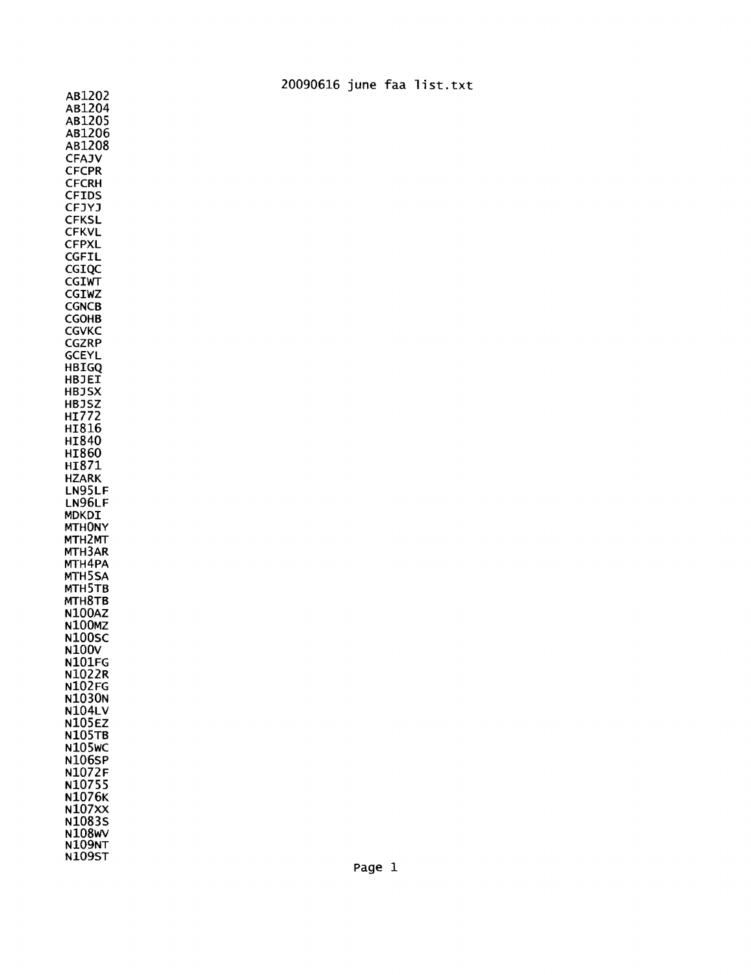AB1202 AB1204 AB1205 AB1206 AB120S **CFAJV CFCPR** CFCRH CFIDS CFJYJ CFKSL **CFKVL** CFPXL CGFIL CGIQC CGIWT CGIWZ CGNCB CGOHB CGVKC CGZRP GCEYL HBIGQ HBJEI HBJSX HBJSZ HI772 HIS16 HIS40 HIS60 HIS7l HZARK LN9SLF LN96LF MDKDI MTHONY MTH2MT MTH3AR MTH4PA MTHSSA MTHSTB MTHSTB N100AZ NlOOMZ N100SC N100V N101FG N1022R Nl02FG Nl030N Nl04LV N10SEZ N105TB N105wc N106sp N1072F Nl07SS N1076K Nl07xx N10S3S N10Swv NI09NT N109ST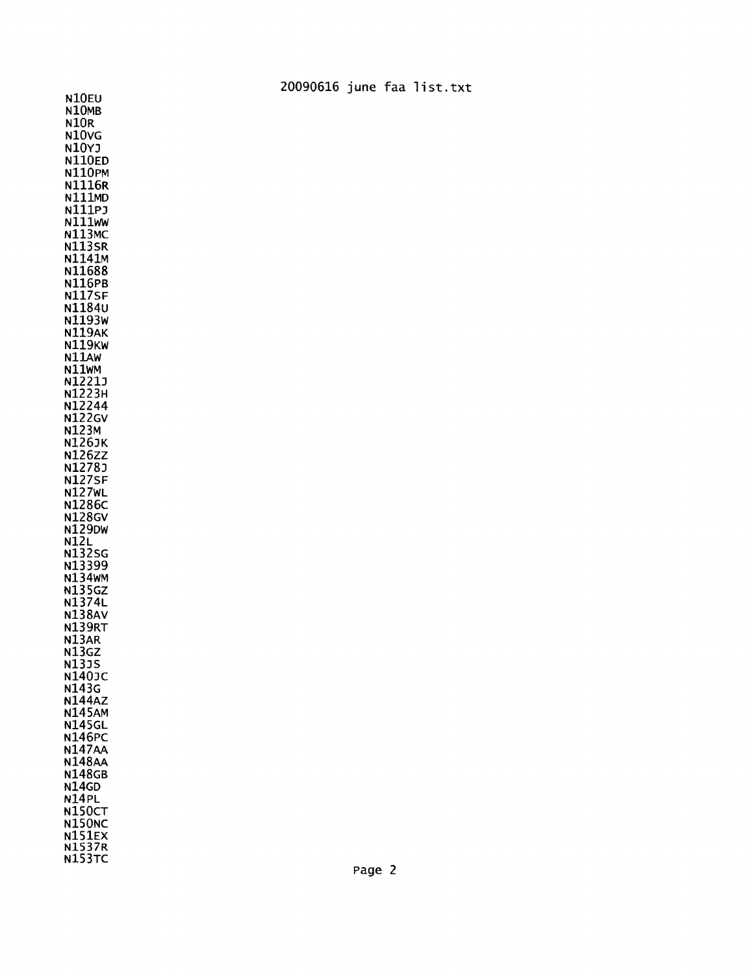N10EU N10MB N10R N10VG N10YJ NllOED NllOPM N1l16R N111MD N111PJ N1l1WW N113MC N113sR N1141M N1l688 N1l6PB N117sF N1184U N1l93W N119AK N1l9KW N1IAw NllWM N1221J N1223H N12244 N122GV N123M N126JK N126ZZ N1278J N127sF N127wL N1286c N128GV N129DW N12L N132SG N13399 N134WM N135GZ N1374L N138AV N139RT N13AR N13GZ N13JS N140JC N143G N144AZ N145AM N145GL N146pC N147AA N148AA N148GB N14GD N14PL N150CT N150NC N151EX N1537R N153TC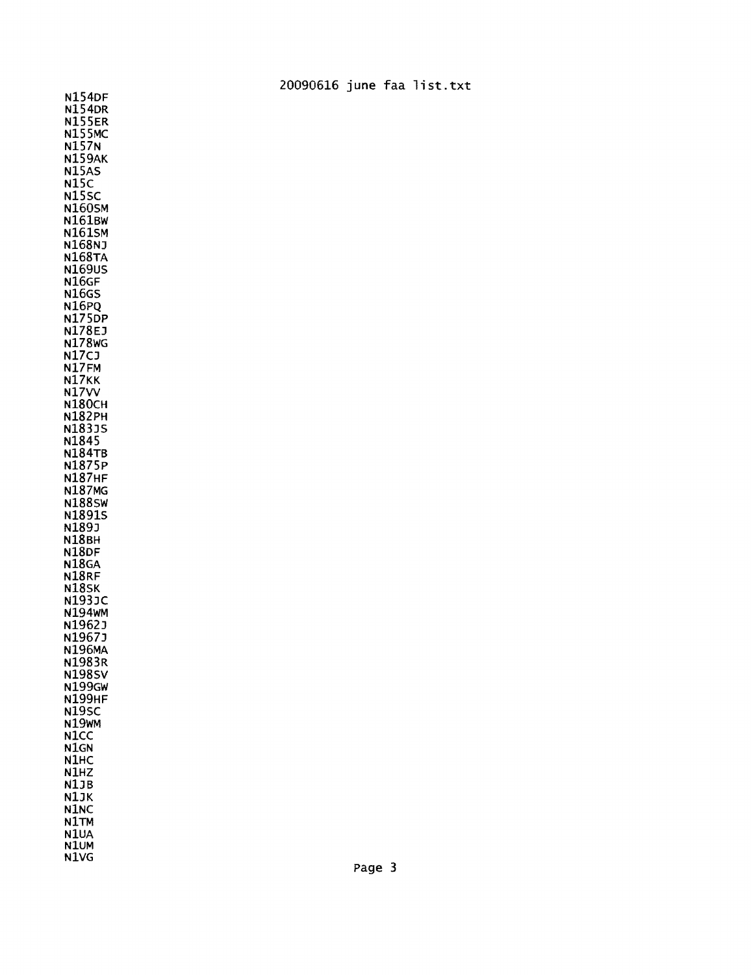N1540F N1540R N155ER N155MC N157N N159AK N15AS N15C N15sc N160SM N161BW N161sM N168NJ N168TA N169us N16GF N16GS N16PQ N1750P N178EJ N178wG N17CJ N17FM N17KK N17w N180CH N182PH N183JS N1845 N184TB N1875p N187HF N187MG N188sw N1891S N189J N18BH N180F N18GA N18RF N18sK N193JC N194wM N1962J N1967J N196MA N1983R N198sv N199GW N199HF N19SC N19wM N1CC N1GN N1HC N1HZ N1JB N1JK N1NC N1TM N1uA NlUM N1VG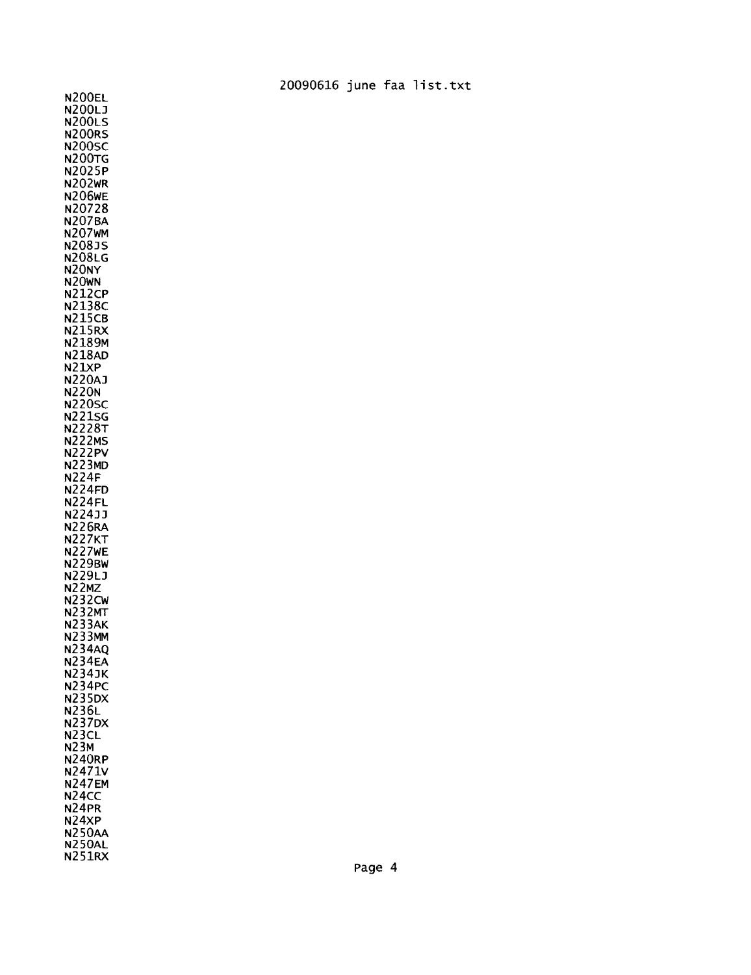N200EL N200LJ N200LS N200RS N200SC N200TG N2025P N202WR N206wE N20728 N207BA N207WM N208JS N208LG N20NY N20WN N212CP N2138C N215CB N215RX N2189M N218AD N21XP N220AJ N220N N220sc N221SG N2228T N222MS N222pV N223MD N224F N224FD N224FL N224JJ N226RA N227KT N227WE N229BW N229LJ N22MZ N232cw N232MT N233AK N233MM N234AQ N234EA N234JK N234PC N235DX N236L N237DX N23CL N23M N240RP N2471v N247EM N24CC N24PR N24xp N250AA N250AL N251RX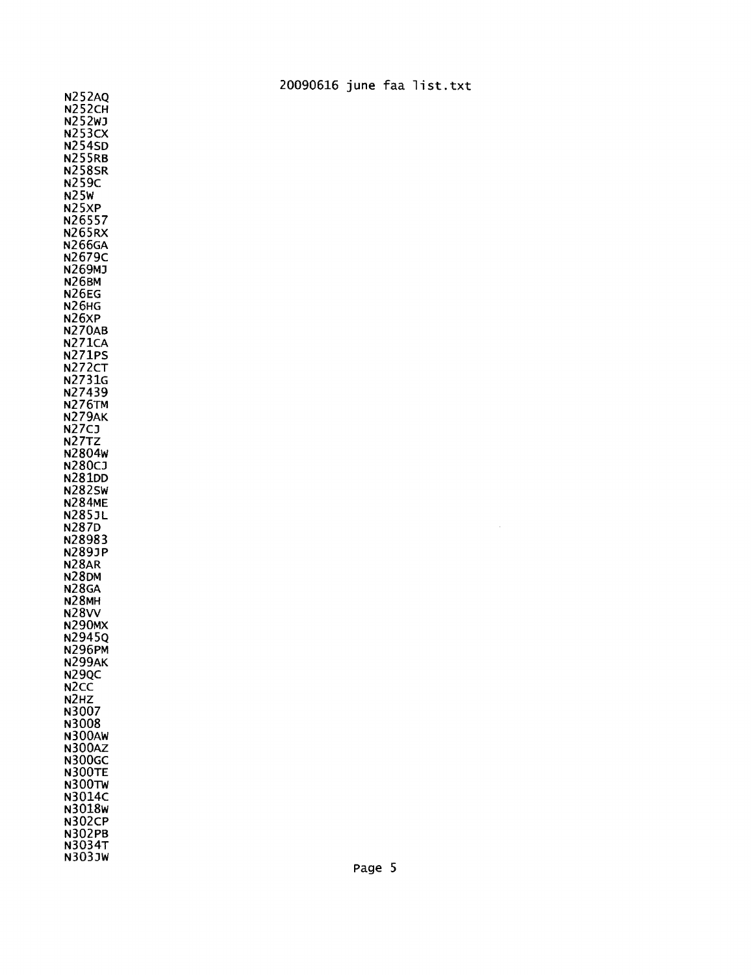N252AQ N252cH N252WJ N253cx N254SD N255RB N258sR N259C N25w N25xp N26557 N265RX N266GA N2679C N269MJ N26BM N26EG N26HG N26xp N270AB N271cA N271pS N272CT N2731G N27439 N276TM N279AK N27CJ N27TZ N2804W N280CJ N281DD N282sw N284ME N285JL N287D N28983 N289JP N28AR N28DM N28GA N28MH N28w N290MX N2945Q N296PM N299AK N29QC N2cc N2HZ N3007 N3008 N300AW N300AZ N300GC N300TE N300TW N3014C N3018W N302CP N302PB N3034T N303JW 20090616 june faa list. txt

 $\hat{\boldsymbol{\beta}}$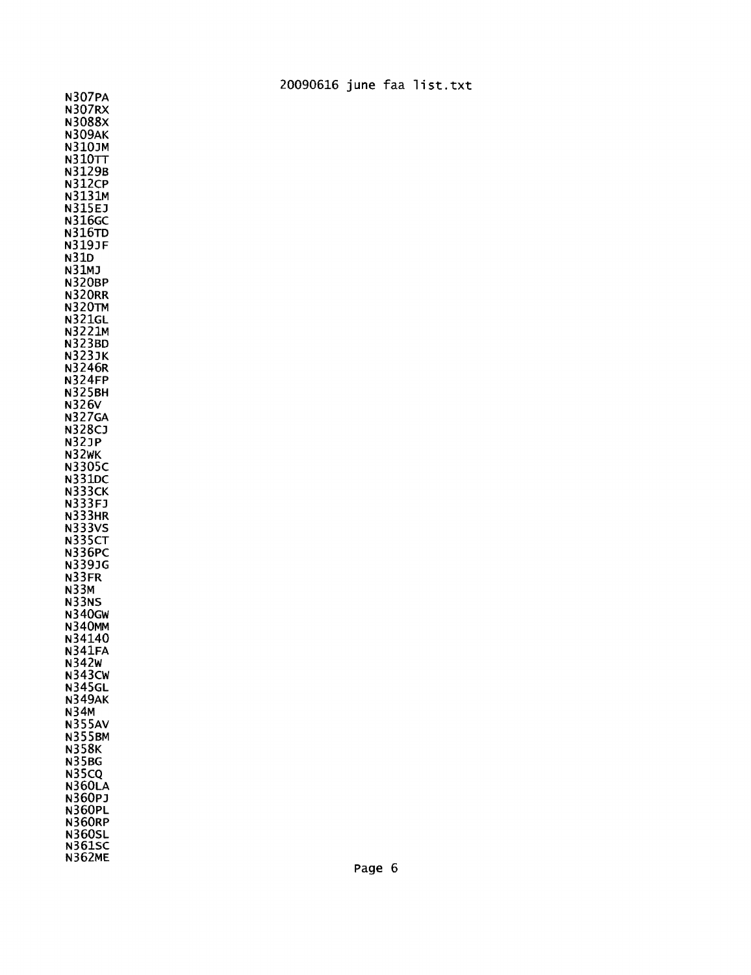N307PA N307RX N3088x N309AK N310JM N310TT N3129B N312cp N3131M N315EJ N316GC N316TD N319JF N31D N31MJ N320BP N320RR N320TM N321GL N3221M N323BD N323JK N3246R N324FP N325BH N326V N327GA N328CJ N32JP N32WK NB05c N331DC N333cK N3BFJ N333HR N333VS N335cT N336PC **N339JG** N33FR N33M N33NS N340GW N340MM N34140 N341FA N342W N343cw N345GL N349AK N34M N355AV N355BM N358K N35BG N35CQ N360LA N360PJ N360PL N360RP N360SL N361SC N362ME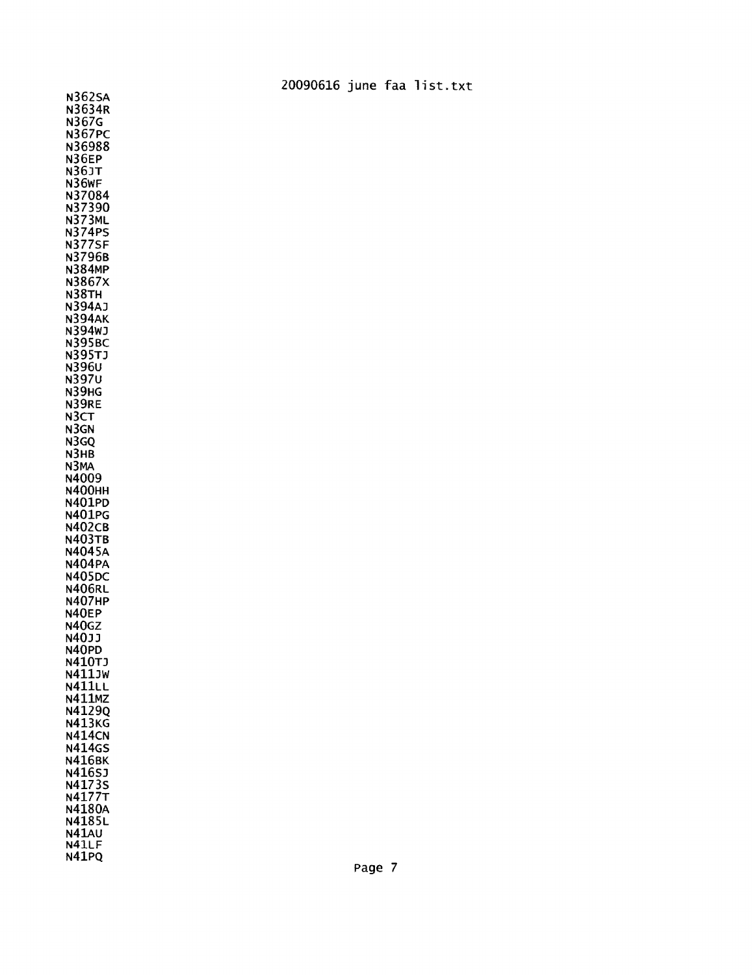N362sA N3634R N367G N367PC N36988 N36EP N36JT N36WF N37084 N37390 N373ML N374PS N377SF N3796B N384MP N3867x N38TH N394AJ N394AK N394WJ N39SBC N39STJ N396u N397U N39HG N39RE N3CT N3GN N3GQ N3HB N3MA N4009 N400HH N401PD N401PG N402CB N403TB N404SA N404PA N40SDC N406RL N407HP N40EP N40GZ N40JJ N40PD N410TJ N41lJw N411LL N411MZ N4129Q N413KG N414CN N414GS N416BK N416SJ N4173s N4177T N4180A N418SL N41Au N41LF

N41PQ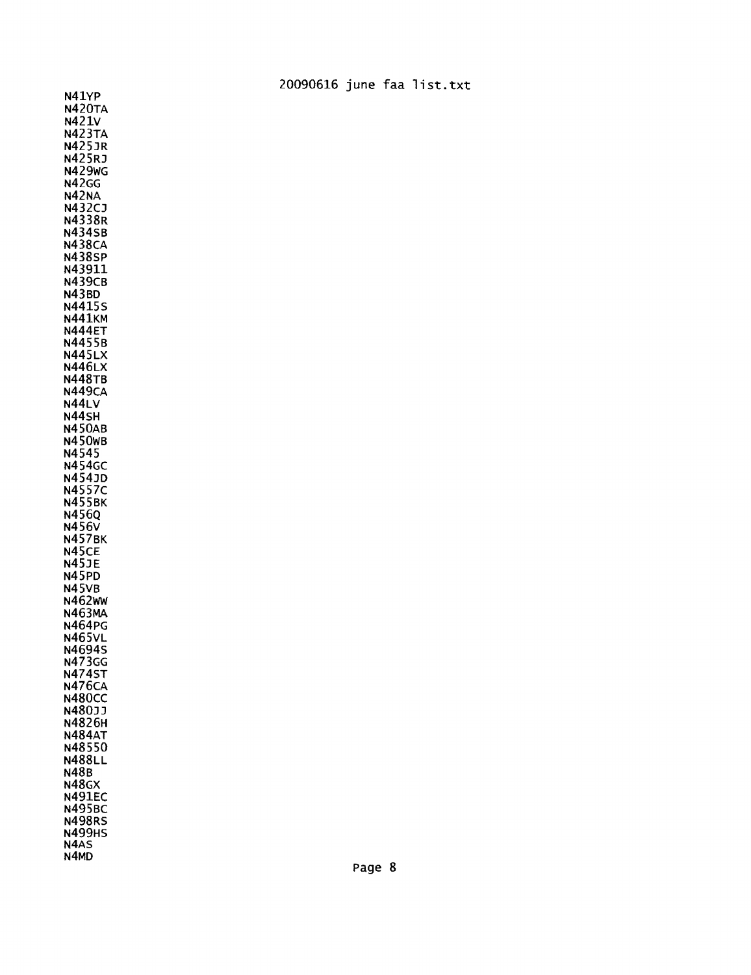N41Vp N420TA N421V N423TA N425JR N425RJ N429WG N42GG N42NA N432CJ N4338R N434SB N438CA N438sp N43911 N439CB N43BD N4415s N441KM N444ET N4455B N445LX N446LX N448TB N449cA N44LV N44SH N450AB N450WB N4545 N454GC N454JD N4557C N455BK N456Q N456v N457BK N45cE N45JE N45PD N45VB N462ww N463MA N464PG N465vL N4694S N473GG N474sT N476cA N480CC N480JJ N4826H N484AT N48550 N488LL N48B N48GX N491EC N495BC N498RS N499HS N4AS N4MD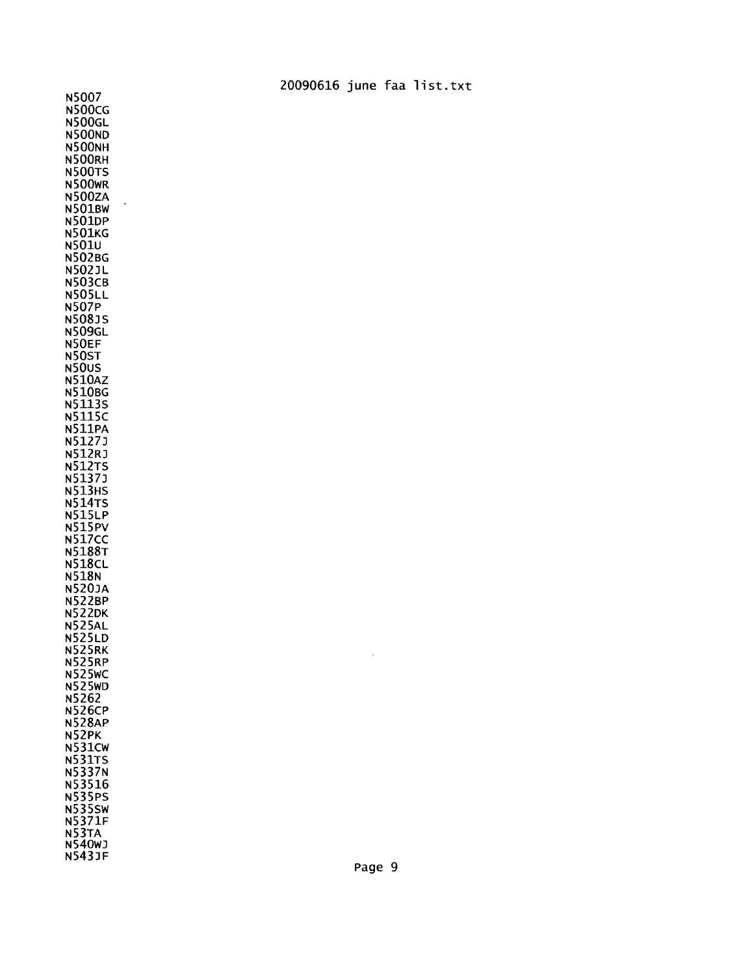N5007 N500CG N500GL N500ND N500NH N500RH N500TS N500WR N500ZA  $\lambda$ N501BW N501DP N501KG N501U N502BG N502JL N503CB N505LL N507p N508JS N509GL N50EF N50ST N50uS N510AZ N510BG N5113S N5115C N511PA N5127J N512RJ N512TS N5137J N513HS N514TS N515LP N515pV N517CC N5188T N518cL N518N N520JA N522BP N522DK N525AL N525LD N525RK N525RP N525wC N525wD N5262 N526cp N528AP N52PK N531CW N531TS N5337N N53516 N535pS N535sw N5371F N53TA N540WJ N543JF

20090616 june faa list. txt

 $\bar{\lambda}$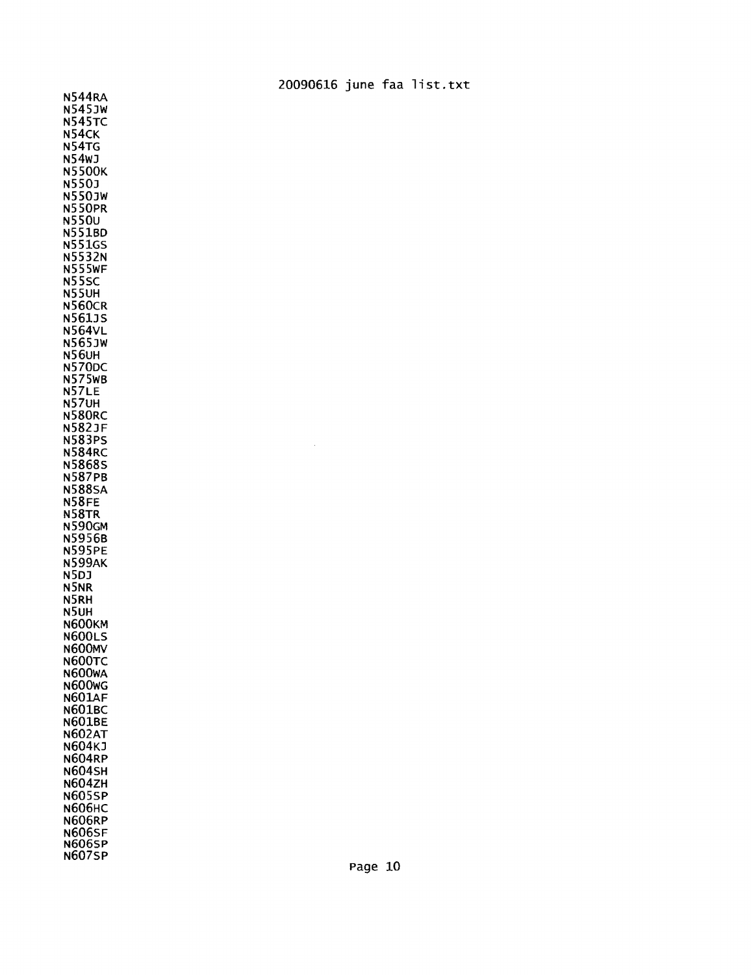N544RA N545JW N545TC N54CK N54TG N54wJ N5500K N550J N550JW N550PR N550U N551BO N551GS N5532N N555wF N55sc N55uH N560CR N561JS N564VL N565JW N56uH N5700C N575wB N57LE N57UH N580RC N582JF N583pS N584RC N5868s N587PB N588sA N58FE N58TR N590GM N5956B N595PE N599AK N50J N5NR N5RH N5UH N600KM N600LS N600MV N600TC N600WA N600WG N60lAF N601BC N601BE N602AT N604KJ N604RP N604SH N604zH N605sp N606HC N606RP N606sF N606sp N607SP

## 20090616 june faa list. txt

 $\hat{\boldsymbol{\beta}}$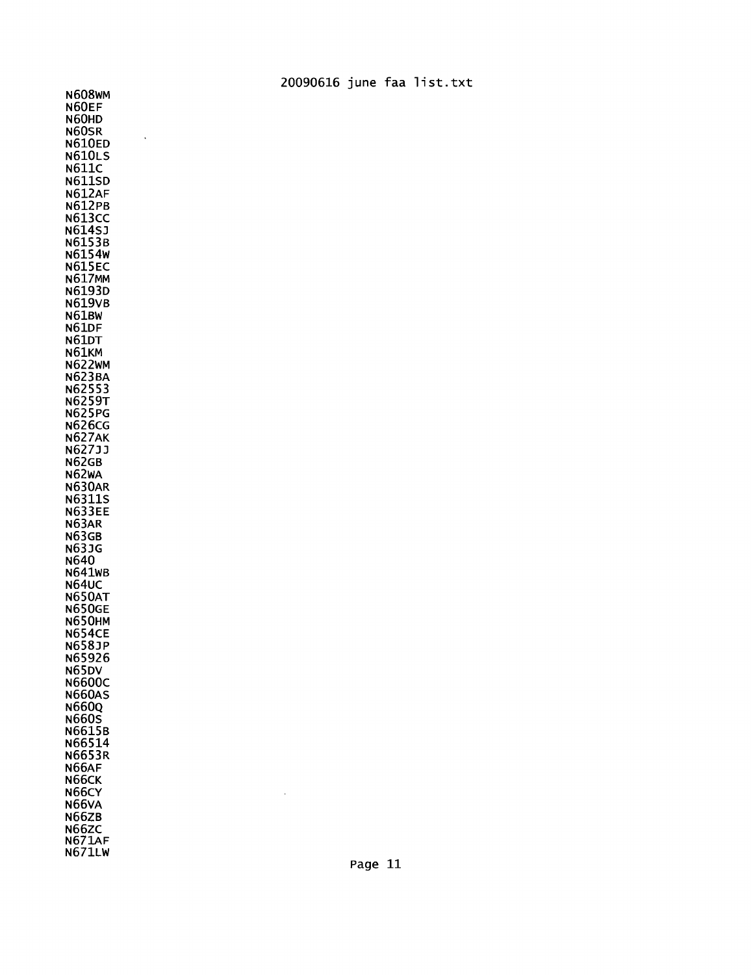N608wM N60EF N60HD N60SR N610ED N610LS N611c N611sD N612AF N612PB N613cC N614SJ N6153B N6154w N615EC N617MM N6193D N619vB N61BW N61DF N61DT N61KM N622wM N623BA N62553 N6259T N625PG N626CG N627AK N627JJ N62GB N62wA N630AR N6311S N633EE N63AR N63GB N63JG N640 N641wB N64uC N650AT N650GE N650HM N654CE N658JP N65926 N65DV N6600C N660AS N660Q N660S N6615B N66514 N6653R N66AF N66CK N66CY N66vA N66ZB N66zC N67IAF N671LW

 $\ddot{\phantom{a}}$ 

| 20090616 june faa list.txt |  |  |  |  |
|----------------------------|--|--|--|--|
|----------------------------|--|--|--|--|

 $\bar{\beta}$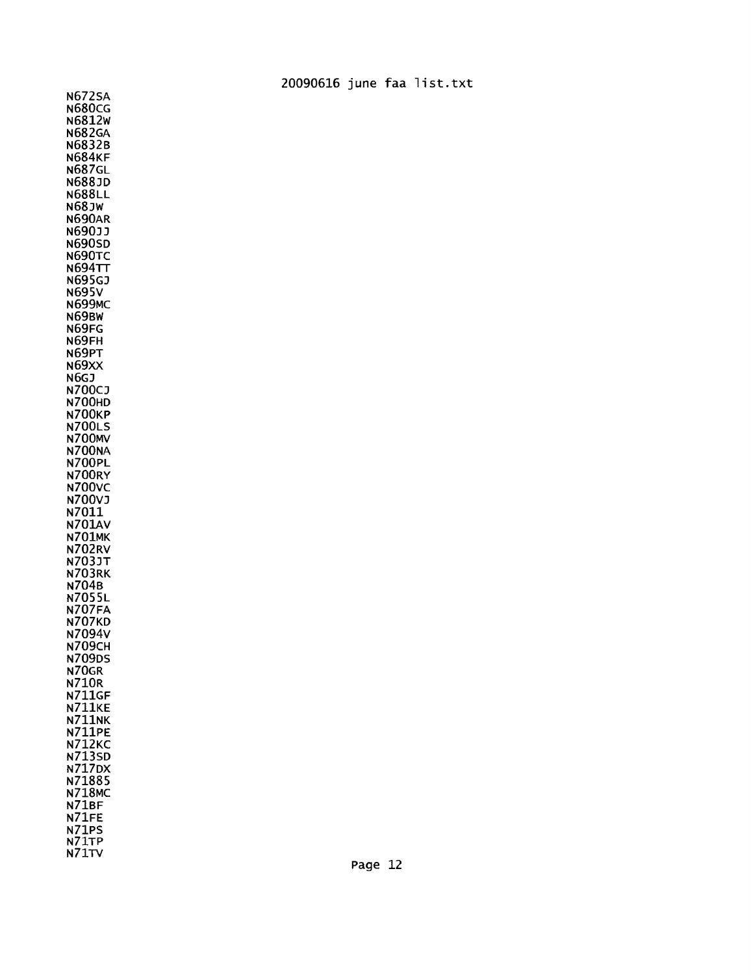N672sA N680cG N6812w N682GA N6832B N684KF N687GL N688JD N688LL N68JW N690AR N690JJ N690SD N690TC N694TT N695GJ N695v N699MC N69BW N69FG N69FH N69PT N69xx N6GJ N700CJ N700HD N700KP N700LS N700MV N700NA N700PL N700RY N700VC N700VJ N7011 N70lAV N701MK N702RV N703JT N703RK N704B N7055L N707FA N707KD N7094v N709cH N709DS N70GR N710R N711GF N711KE N711NK N711PE N712KC N713sD N717DX N71885 N718MC N71BF N71FE N71pS N7ITP N71TV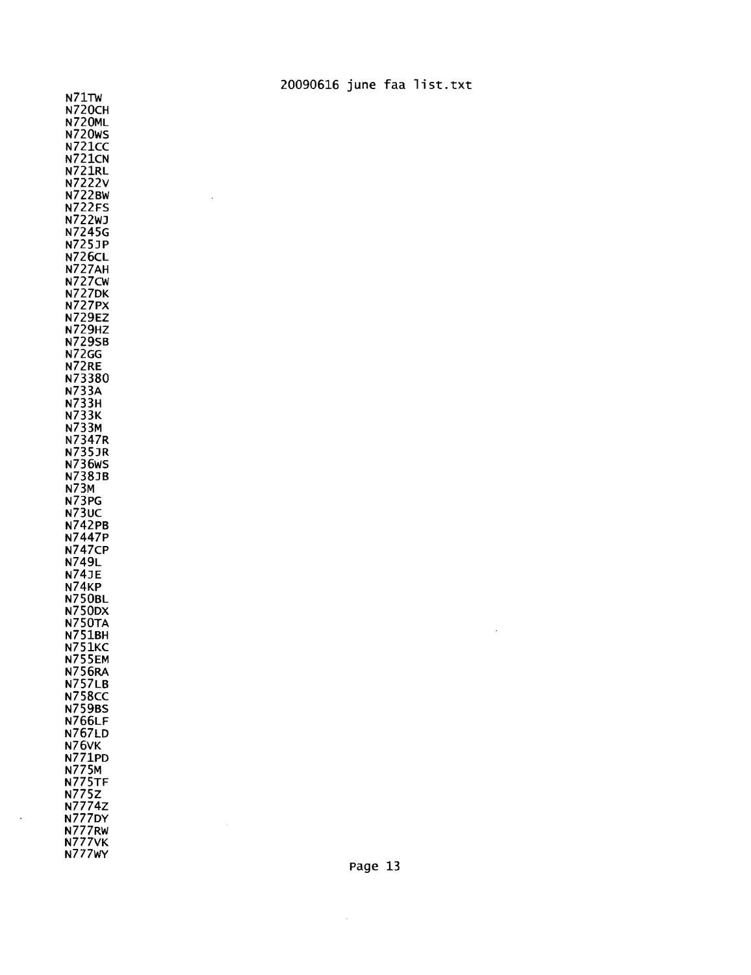N71TW N720CH N720ML N720ws N721CC N721cN N721RL N7222v N722BW N722FS N722WJ N7245G N725JP N726cL N727AH N727cw N7270K N727PX N729EZ N729HZ N729sB N72GG N72RE N73380 N733A N733H N733K N733M N7347R N735JR N736ws N738JB N73M N73PG N73uc N742PB N7447p N747cp N749L N74JE N74KP N750BL N7500x N750TA N751BH N751KC N755EM N756RA N757LB N758cc N759BS N766LF N767LD N76vK N771PD N775M N775TF N775z N7774z N7770Y N777RW N777VK N777wy

 $\ddot{\phantom{1}}$ 

 $\lambda$ 

20090616 june faa list. txt

 $\mathcal{A}^{\mathcal{A}}$ 

 $\sim$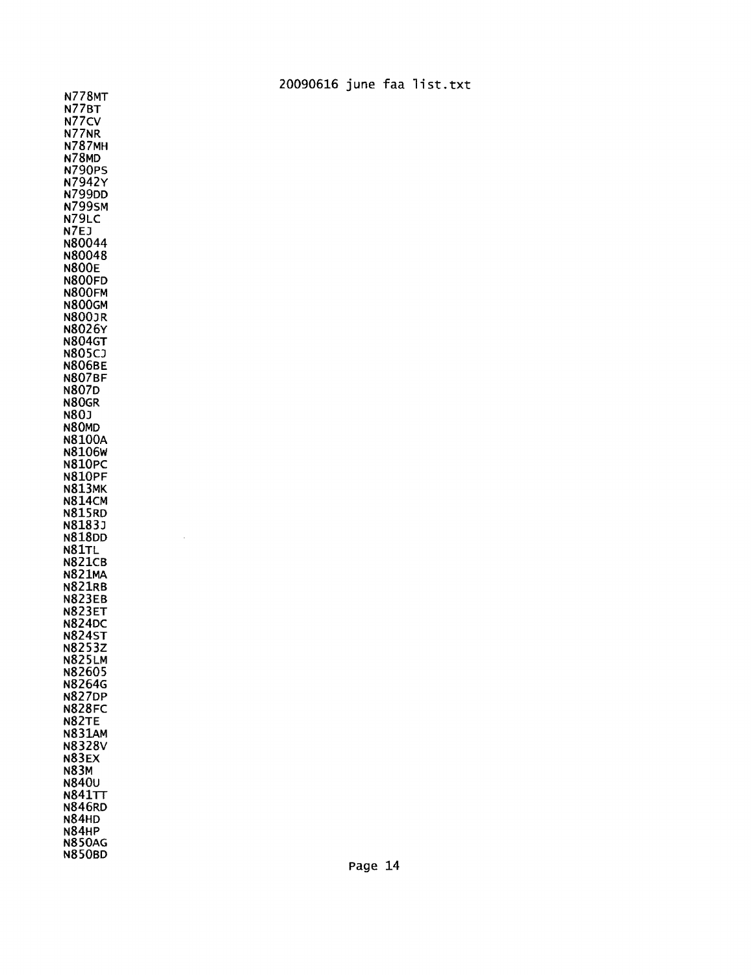N778MT N77BT N77cv N77NR N787MH N78MD N790pS N7942y N799DD N799sM N79LC N7EJ N80044 N80048 N800E N800FD N800FM N800GM N800JR N8026y N804GT N805CJ N806BE N807BF N807D N80GR N80J N80MD N8100A N8106w N810pC N810PF N813MK N814CM N815RD N8183J N818DD N81TL N821CB N821MA N821RB N823EB N823ET N824DC N824ST N8253z N825LM N82605 N8264G N827DP N828FC N82TE N83IAM N8328v N83EX N83M N840u N841TT N846RD N84HD N84HP N850AG N850BD

 $\hat{\boldsymbol{\beta}}$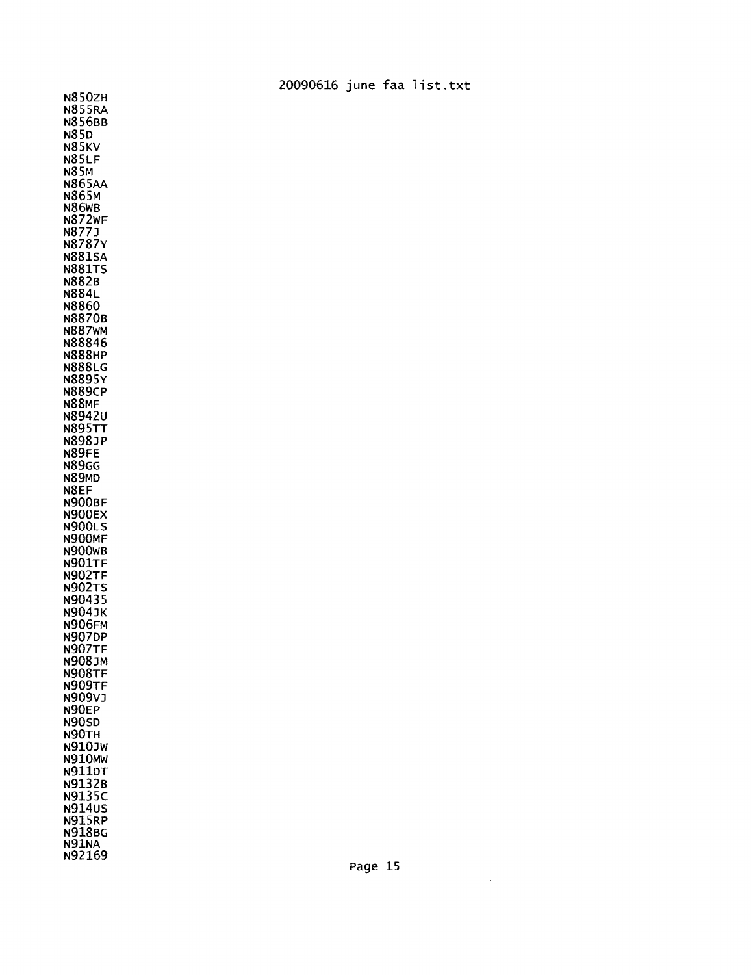N850ZH N855RA N856BB N85D N85KV N85LF N85M N865M N865M N86wB N872WF N877J N8787v N881SA N881TS N882B N884L N8860 N8870B N887wM N88846 N888HP N888LG N8895v N889cp N88MF N8942U N895TT N898JP N89FE N89GG N89MD N8EF N900BF N900EX N900LS N900MF N900WB N901TF N902TF N902TS N90435 N904JK N906FM N907DP N907TF N908JM N908TF N909TF N909VJ N90EP N90SD N90TH N910JW N910MW N911DT N9132B N9135C N914US N915RP N918BG N91NA N92169

20090616 june faa list. txt

 $\mathcal{A}^{\mathcal{A}}$ 

 $\mathcal{A}$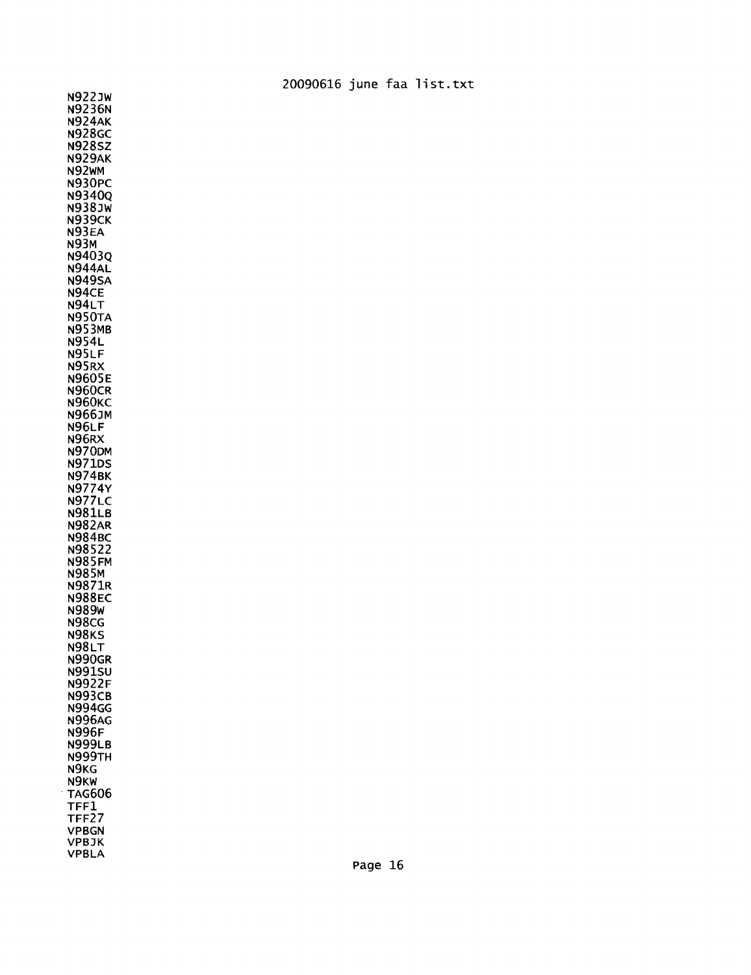N922JW N9236N N924AK N928GC N928sz N929AK N92wM N930pC N9340Q N938JW N939cK N93EA N93M N9403Q N944AL N949sA N94CE N94LT N950TA N953MB N954L N95LF N95RX N9605E N960CR N960KC N966JM N96LF N96RX N970DM N971DS N974BK N9774Y N977LC N981LB N982AR N984BC N98522 N985FM N985M N9871R N988EC N989w N98CG N98KS N98LT N990GR N991su N9922F N993cB N994GG N996AG N996F N999LB N999TH N9KG N9KW , TAG606 TFF1 TFF27 VPBGN VPBJK VPBLA

page 16